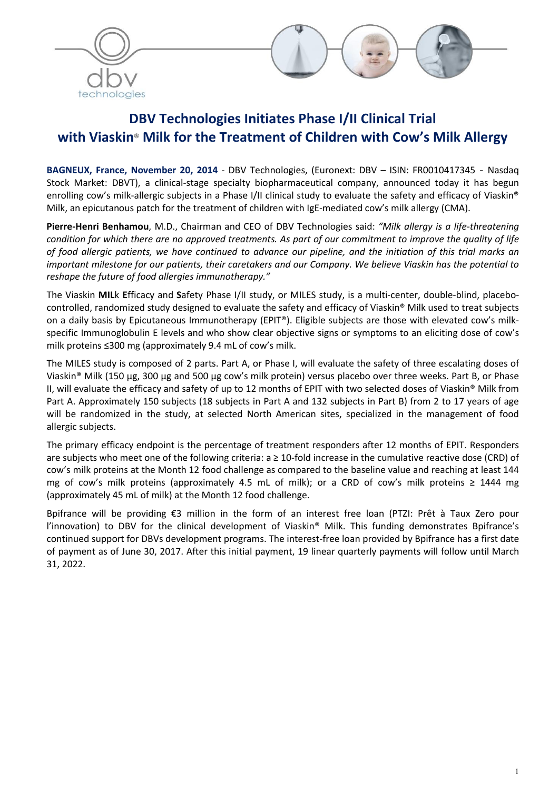



# DBV Technologies Initiates Phase I/II Clinical Trial with Viaskin<sup>®</sup> Milk for the Treatment of Children with Cow's Milk Allergy

BAGNEUX, France, November 20, 2014 - DBV Technologies, (Euronext: DBV – ISIN: FR0010417345 - Nasdaq Stock Market: DBVT), a clinical-stage specialty biopharmaceutical company, announced today it has begun enrolling cow's milk-allergic subjects in a Phase I/II clinical study to evaluate the safety and efficacy of Viaskin® Milk, an epicutanous patch for the treatment of children with IgE-mediated cow's milk allergy (CMA).

Pierre-Henri Benhamou, M.D., Chairman and CEO of DBV Technologies said: *"Milk allergy is a life-threatening condition for which there are no approved treatments. As part of our commitment to improve the quality of life of food allergic patients, we have continued to advance our pipeline, and the initiation of this trial marks an important milestone for our patients, their caretakers and our Company. We believe Viaskin has the potential to reshape the future of food allergies immunotherapy."*

The Viaskin MILk Efficacy and Safety Phase I/II study, or MILES study, is a multi-center, double-blind, placebocontrolled, randomized study designed to evaluate the safety and efficacy of Viaskin® Milk used to treat subjects on a daily basis by Epicutaneous Immunotherapy (EPIT®). Eligible subjects are those with elevated cow's milkspecific Immunoglobulin E levels and who show clear objective signs or symptoms to an eliciting dose of cow's milk proteins ≤300 mg (approximately 9.4 mL of cow's milk.

The MILES study is composed of 2 parts. Part A, or Phase I, will evaluate the safety of three escalating doses of Viaskin® Milk (150 μg, 300 μg and 500 μg cow's milk protein) versus placebo over three weeks. Part B, or Phase II, will evaluate the efficacy and safety of up to 12 months of EPIT with two selected doses of Viaskin<sup>®</sup> Milk from Part A. Approximately 150 subjects (18 subjects in Part A and 132 subjects in Part B) from 2 to 17 years of age will be randomized in the study, at selected North American sites, specialized in the management of food allergic subjects.

The primary efficacy endpoint is the percentage of treatment responders after 12 months of EPIT. Responders are subjects who meet one of the following criteria:  $a \ge 10$ -fold increase in the cumulative reactive dose (CRD) of cow's milk proteins at the Month 12 food challenge as compared to the baseline value and reaching at least 144 mg of cow's milk proteins (approximately 4.5 mL of milk); or a CRD of cow's milk proteins ≥ 1444 mg (approximately 45 mL of milk) at the Month 12 food challenge.

Bpifrance will be providing €3 million in the form of an interest free loan (PTZI: Prêt à Taux Zero pour l'innovation) to DBV for the clinical development of Viaskin® Milk. This funding demonstrates Bpifrance's continued support for DBVs development programs. The interest-free loan provided by Bpifrance has a first date of payment as of June 30, 2017. After this initial payment, 19 linear quarterly payments will follow until March 31, 2022.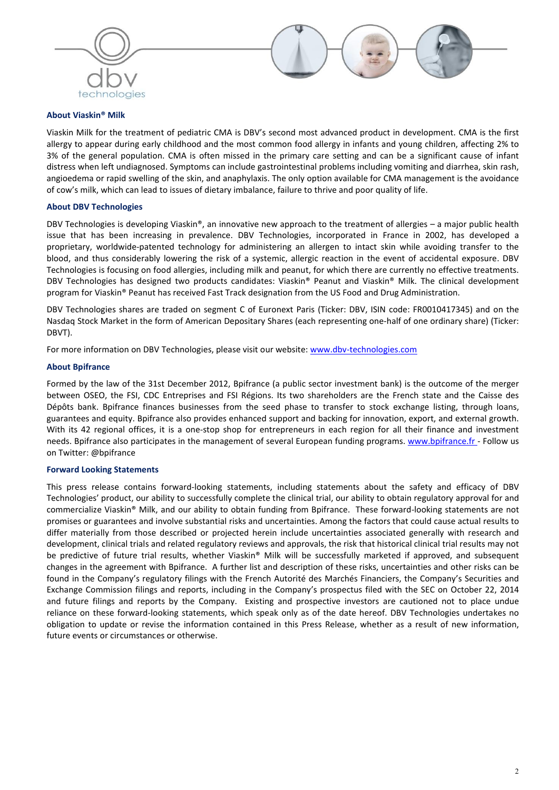



# About Viaskin® Milk

Viaskin Milk for the treatment of pediatric CMA is DBV's second most advanced product in development. CMA is the first allergy to appear during early childhood and the most common food allergy in infants and young children, affecting 2% to 3% of the general population. CMA is often missed in the primary care setting and can be a significant cause of infant distress when left undiagnosed. Symptoms can include gastrointestinal problems including vomiting and diarrhea, skin rash, angioedema or rapid swelling of the skin, and anaphylaxis. The only option available for CMA management is the avoidance of cow's milk, which can lead to issues of dietary imbalance, failure to thrive and poor quality of life.

# About DBV Technologies

DBV Technologies is developing Viaskin®, an innovative new approach to the treatment of allergies – a major public health issue that has been increasing in prevalence. DBV Technologies, incorporated in France in 2002, has developed a proprietary, worldwide-patented technology for administering an allergen to intact skin while avoiding transfer to the blood, and thus considerably lowering the risk of a systemic, allergic reaction in the event of accidental exposure. DBV Technologies is focusing on food allergies, including milk and peanut, for which there are currently no effective treatments. DBV Technologies has designed two products candidates: Viaskin® Peanut and Viaskin® Milk. The clinical development program for Viaskin® Peanut has received Fast Track designation from the US Food and Drug Administration.

DBV Technologies shares are traded on segment C of Euronext Paris (Ticker: DBV, ISIN code: FR0010417345) and on the Nasdaq Stock Market in the form of American Depositary Shares (each representing one-half of one ordinary share) (Ticker: DBVT).

For more information on DBV Technologies, please visit our website: www.dbv-technologies.com

### About Bpifrance

Formed by the law of the 31st December 2012, Bpifrance (a public sector investment bank) is the outcome of the merger between OSEO, the FSI, CDC Entreprises and FSI Régions. Its two shareholders are the French state and the Caisse des Dépôts bank. Bpifrance finances businesses from the seed phase to transfer to stock exchange listing, through loans, guarantees and equity. Bpifrance also provides enhanced support and backing for innovation, export, and external growth. With its 42 regional offices, it is a one-stop shop for entrepreneurs in each region for all their finance and investment needs. Bpifrance also participates in the management of several European funding programs. www.bpifrance.fr - Follow us on Twitter: @bpifrance

### Forward Looking Statements

This press release contains forward-looking statements, including statements about the safety and efficacy of DBV Technologies' product, our ability to successfully complete the clinical trial, our ability to obtain regulatory approval for and commercialize Viaskin® Milk, and our ability to obtain funding from Bpifrance. These forward-looking statements are not promises or guarantees and involve substantial risks and uncertainties. Among the factors that could cause actual results to differ materially from those described or projected herein include uncertainties associated generally with research and development, clinical trials and related regulatory reviews and approvals, the risk that historical clinical trial results may not be predictive of future trial results, whether Viaskin® Milk will be successfully marketed if approved, and subsequent changes in the agreement with Bpifrance. A further list and description of these risks, uncertainties and other risks can be found in the Company's regulatory filings with the French Autorité des Marchés Financiers, the Company's Securities and Exchange Commission filings and reports, including in the Company's prospectus filed with the SEC on October 22, 2014 and future filings and reports by the Company. Existing and prospective investors are cautioned not to place undue reliance on these forward-looking statements, which speak only as of the date hereof. DBV Technologies undertakes no obligation to update or revise the information contained in this Press Release, whether as a result of new information, future events or circumstances or otherwise.